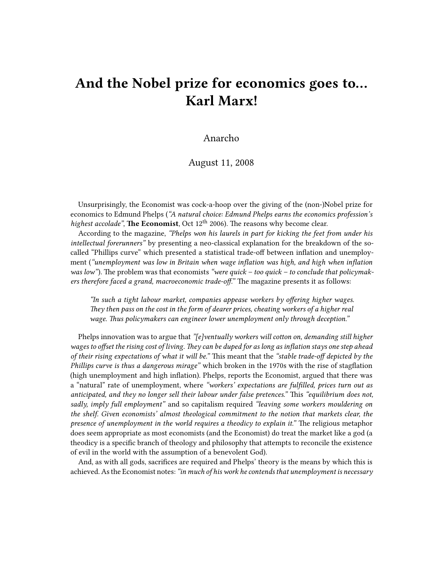## **And the Nobel prize for economics goes to… Karl Marx!**

## Anarcho

## August 11, 2008

Unsurprisingly, the Economist was cock-a-hoop over the giving of the (non-)Nobel prize for economics to Edmund Phelps (*"A natural choice: Edmund Phelps earns the economics profession's highest accolade"*, **The Economist**, Oct 12<sup>th</sup> 2006). The reasons why become clear.

According to the magazine, *"Phelps won his laurels in part for kicking the feet from under his intellectual forerunners"* by presenting a neo-classical explanation for the breakdown of the socalled "Phillips curve" which presented a statistical trade-off between inflation and unemployment (*"unemployment was low in Britain when wage inflation was high, and high when inflation* was low"). The problem was that economists "were quick – too quick – to conclude that policymak*ers therefore faced a grand, macroeconomic trade-off."* The magazine presents it as follows:

*"In such a tight labour market, companies appease workers by offering higher wages. They then pass on the cost in the form of dearer prices, cheating workers of a higher real wage. Thus policymakers can engineer lower unemployment only through deception."*

Phelps innovation was to argue that *"[e]ventually workers will cotton on, demanding still higher wages to offset the rising cost of living. They can be duped for as long as inflation stays one step ahead of their rising expectations of what it will be."* This meant that the *"stable trade-off depicted by the Phillips curve is thus a dangerous mirage"* which broken in the 1970s with the rise of stagflation (high unemployment and high inflation). Phelps, reports the Economist, argued that there was a "natural" rate of unemployment, where *"workers' expectations are fulfilled, prices turn out as anticipated, and they no longer sell their labour under false pretences."* This *"equilibrium does not, sadly, imply full employment"* and so capitalism required *"leaving some workers mouldering on the shelf. Given economists' almost theological commitment to the notion that markets clear, the presence of unemployment in the world requires a theodicy to explain it."* The religious metaphor does seem appropriate as most economists (and the Economist) do treat the market like a god (a theodicy is a specific branch of theology and philosophy that attempts to reconcile the existence of evil in the world with the assumption of a benevolent God).

And, as with all gods, sacrifices are required and Phelps' theory is the means by which this is achieved. As the Economist notes:*"in much of his work he contends that unemployment is necessary*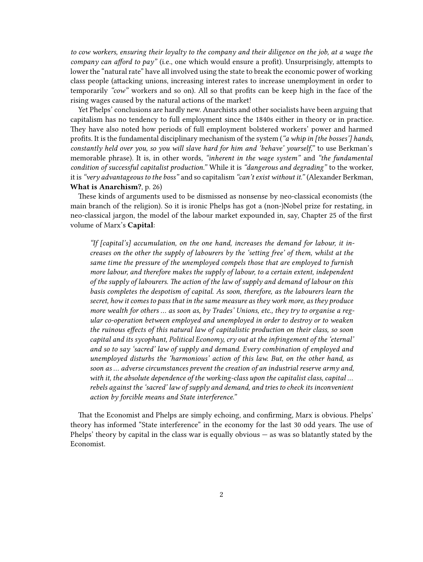*to cow workers, ensuring their loyalty to the company and their diligence on the job, at a wage the company can afford to pay"* (i.e., one which would ensure a profit). Unsurprisingly, attempts to lower the "natural rate" have all involved using the state to break the economic power of working class people (attacking unions, increasing interest rates to increase unemployment in order to temporarily *"cow"* workers and so on). All so that profits can be keep high in the face of the rising wages caused by the natural actions of the market!

Yet Phelps' conclusions are hardly new. Anarchists and other socialists have been arguing that capitalism has no tendency to full employment since the 1840s either in theory or in practice. They have also noted how periods of full employment bolstered workers' power and harmed profits. It is the fundamental disciplinary mechanism of the system (*"a whip in [the bosses'] hands, constantly held over you, so you will slave hard for him and 'behave' yourself,"* to use Berkman's memorable phrase). It is, in other words, *"inherent in the wage system"* and *"the fundamental condition of successful capitalist production."* While it is *"dangerous and degrading"* to the worker, it is*"very advantageous to the boss"* and so capitalism *"can't exist without it."* (Alexander Berkman, **What is Anarchism?**, p. 26)

These kinds of arguments used to be dismissed as nonsense by neo-classical economists (the main branch of the religion). So it is ironic Phelps has got a (non-)Nobel prize for restating, in neo-classical jargon, the model of the labour market expounded in, say, Chapter 25 of the first volume of Marx's **Capital**:

*"If [capital's] accumulation, on the one hand, increases the demand for labour, it increases on the other the supply of labourers by the 'setting free' of them, whilst at the same time the pressure of the unemployed compels those that are employed to furnish more labour, and therefore makes the supply of labour, to a certain extent, independent of the supply of labourers. The action of the law of supply and demand of labour on this basis completes the despotism of capital. As soon, therefore, as the labourers learn the secret, how it comes to pass that in the same measure as they work more, as they produce more wealth for others … as soon as, by Trades' Unions, etc., they try to organise a regular co-operation between employed and unemployed in order to destroy or to weaken the ruinous effects of this natural law of capitalistic production on their class, so soon capital and its sycophant, Political Economy, cry out at the infringement of the 'eternal' and so to say 'sacred' law of supply and demand. Every combination of employed and unemployed disturbs the 'harmonious' action of this law. But, on the other hand, as soon as … adverse circumstances prevent the creation of an industrial reserve army and, with it, the absolute dependence of the working-class upon the capitalist class, capital … rebels against the 'sacred' law of supply and demand, and tries to check its inconvenient action by forcible means and State interference."*

That the Economist and Phelps are simply echoing, and confirming, Marx is obvious. Phelps' theory has informed "State interference" in the economy for the last 30 odd years. The use of Phelps' theory by capital in the class war is equally obvious — as was so blatantly stated by the Economist.